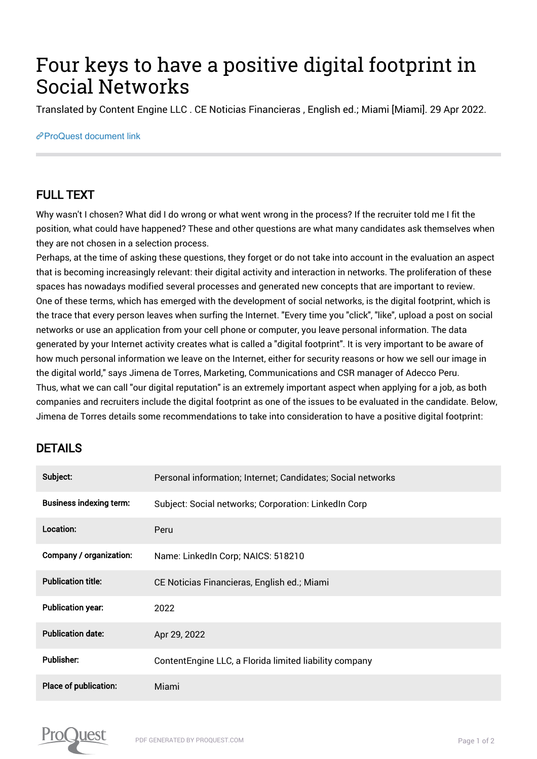## Four keys to have a positive digital footprint in Social Networks

Translated by Content Engine LLC . CE Noticias Financieras , English ed.; Miami [Miami]. 29 Apr 2022.

## [ProQuest document link](https://www.proquest.com/wire-feeds/four-keys-have-positive-digital-footprint-social/docview/2657719732/se-2?accountid=44910)

## FULL TEXT

Why wasn't I chosen? What did I do wrong or what went wrong in the process? If the recruiter told me I fit the position, what could have happened? These and other questions are what many candidates ask themselves when they are not chosen in a selection process.

Perhaps, at the time of asking these questions, they forget or do not take into account in the evaluation an aspect that is becoming increasingly relevant: their digital activity and interaction in networks. The proliferation of these spaces has nowadays modified several processes and generated new concepts that are important to review. One of these terms, which has emerged with the development of social networks, is the digital footprint, which is the trace that every person leaves when surfing the Internet. "Every time you "click", "like", upload a post on social networks or use an application from your cell phone or computer, you leave personal information. The data generated by your Internet activity creates what is called a "digital footprint". It is very important to be aware of how much personal information we leave on the Internet, either for security reasons or how we sell our image in the digital world," says Jimena de Torres, Marketing, Communications and CSR manager of Adecco Peru. Thus, what we can call "our digital reputation" is an extremely important aspect when applying for a job, as both companies and recruiters include the digital footprint as one of the issues to be evaluated in the candidate. Below, Jimena de Torres details some recommendations to take into consideration to have a positive digital footprint:

## DETAILS

| Subject:                       | Personal information; Internet; Candidates; Social networks |
|--------------------------------|-------------------------------------------------------------|
| <b>Business indexing term:</b> | Subject: Social networks; Corporation: LinkedIn Corp        |
| Location:                      | Peru                                                        |
| Company / organization:        | Name: LinkedIn Corp; NAICS: 518210                          |
| <b>Publication title:</b>      | CE Noticias Financieras, English ed.; Miami                 |
| <b>Publication year:</b>       | 2022                                                        |
| <b>Publication date:</b>       | Apr 29, 2022                                                |
| <b>Publisher:</b>              | Content Engine LLC, a Florida limited liability company     |
| <b>Place of publication:</b>   | Miami                                                       |